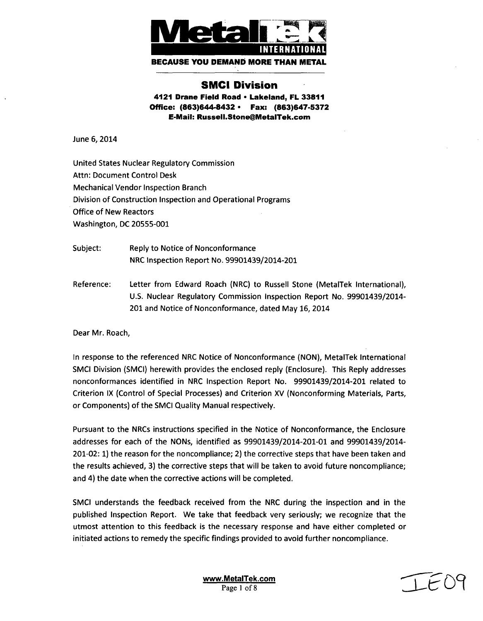

# **SMCI** Division

**4121** Drane Field Road **-** Lakeland, FL **33811** Office: (863)644-8432 \* Fax: **(863)647-5372** E-Mail: RusselI.Stone@MetalTek.com

June 6, 2014

United States Nuclear Regulatory Commission Attn: Document Control Desk Mechanical Vendor Inspection Branch Division of Construction Inspection and Operational Programs Office of New Reactors Washington, DC 20555-001

Subject: Reply to Notice of Nonconformance NRC Inspection Report No. 99901439/2014-201

Reference: Letter from Edward Roach (NRC) to Russell Stone (MetalTek International), U.S. Nuclear Regulatory Commission Inspection Report No. 99901439/2014- 201 and Notice of Nonconformance, dated May 16, 2014

Dear Mr. Roach,

In response to the referenced NRC Notice of Nonconformance (NON), MetalTek International SMCI Division (SMCI) herewith provides the enclosed reply (Enclosure). This Reply addresses nonconformances identified in NRC Inspection Report No. 99901439/2014-201 related to Criterion IX (Control of Special Processes) and Criterion XV (Nonconforming Materials, Parts, or Components) of the SMCI Quality Manual respectively.

Pursuant to the NRCs instructions specified in the Notice of Nonconformance, the Enclosure addresses for each of the NONs, identified as 99901439/2014-201-01 and 99901439/2014- 201-02: 1) the reason for the noncompliance; 2) the corrective steps that have been taken and the results achieved, 3) the corrective steps that will be taken to avoid future noncompliance; and 4) the date when the corrective actions will be completed.

SMCI understands the feedback received from the NRC during the inspection and in the published Inspection Report. We take that feedback very seriously; we recognize that the utmost attention to this feedback is the necessary response and have either completed or initiated actions to remedy the specific findings provided to avoid further noncompliance.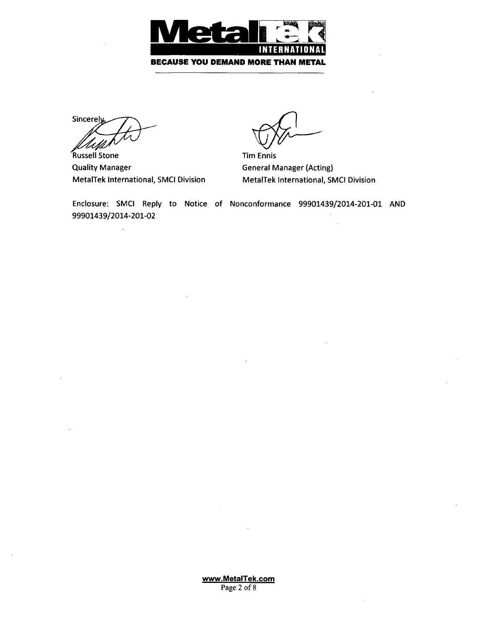

Sincerely US.

'Russell Stone Quality Manager MetalTek International, SMCI Division

Tim Ennis General Manager (Acting) MetalTek International, SMCI Division

Enclosure: SMCI Reply to Notice of Nonconformance 99901439/2014-201-01 AND 99901439/2014-201-02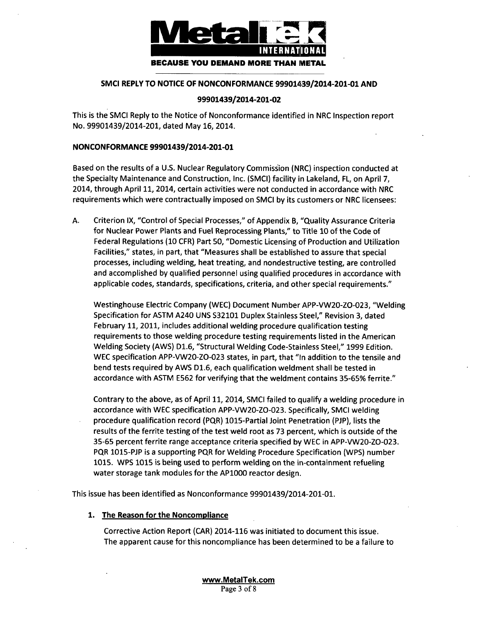

#### **SMCI** REPLY TO **NOTICE** OF **NONCONFORMANCE** 99901439/2014-201-01 **AND**

#### 99901439/2014-201-02

This is the SMCI Reply to the Notice of Nonconformance identified in NRC Inspection report No. 99901439/2014-201, dated May 16, 2014.

#### NONCONFORMANCE 99901439/2014-201-01

Based on the results of a U.S. Nuclear Regulatory Commission (NRC) inspection conducted at the Specialty Maintenance and Construction, Inc. (SMCI) facility in Lakeland, FL, on April 7, 2014, through April 11, 2014, certain activities were not conducted in accordance with NRC requirements which were contractually imposed on SMCI by its customers or NRC licensees:

A. Criterion IX, "Control of Special Processes," of Appendix B, "Quality Assurance Criteria for Nuclear Power Plants and Fuel Reprocessing Plants," to Title 10 of the Code of Federal Regulations (10 CFR) Part 50, "Domestic Licensing of Production and Utilization Facilities," states, in part, that "Measures shall be established to assure that special processes, including welding, heat treating, and nondestructive testing, are controlled and accomplished by qualified personnel using qualified procedures in accordance with applicable codes, standards, specifications, criteria, and other special requirements."

Westinghouse Electric Company (WEC) Document Number APP-VW20-ZO-023, "Welding Specification for ASTM A240 UNS S32101 Duplex Stainless Steel," Revision 3, dated February 11, 2011, includes additional welding procedure qualification testing requirements to those welding procedure testing requirements listed in the American Welding Society (AWS) D1.6, "Structural Welding Code-Stainless Steel," 1999 Edition. WEC specification APP-VW20-ZO-023 states, in part, that "In addition to the tensile and bend tests required by AWS D1.6, each qualification weldment shall be tested in accordance with ASTM E562 for verifying that the weldment contains 35-65% ferrite."

Contrary to the above, as of April 11, 2014, SMCI failed to qualify a welding procedure in accordance with WEC specification APP-VW20-ZO-023. Specifically, SMCI welding procedure qualification record (PQR) 1015-Partial Joint Penetration (PJP), lists the results of the ferrite testing of the test weld root as 73 percent, which is outside of the 35-65 percent ferrite range acceptance criteria specified by WEC in APP-VW20-ZO-023. PQR 1015-PJP is a supporting PQR for Welding Procedure Specification (WPS) number 1015. WPS 1015 is being used to perform welding on the in-containment refueling water storage tank modules for the AP1000 reactor design.

This issue has been identified as Nonconformance 99901439/2014-201-01.

# 1. The Reason for the Noncompliance

Corrective Action Report (CAR) 2014-116 was initiated to document this issue. The apparent cause for this noncompliance has been determined to be a failure to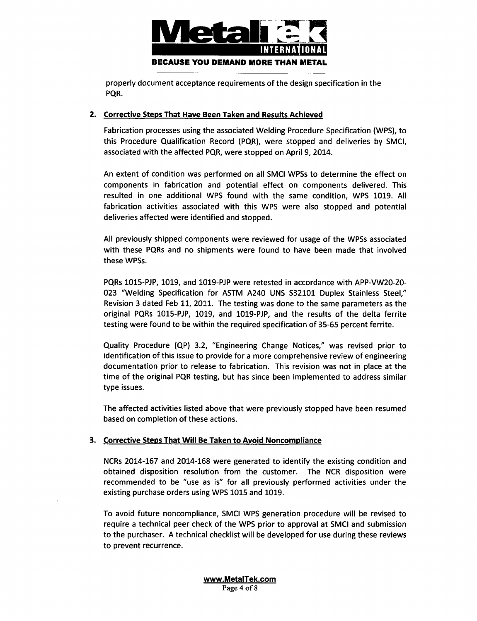

properly document acceptance requirements of the design specification in the PQR.

# 2. Corrective Steps That Have Been Taken and Results Achieved

Fabrication processes using the associated Welding Procedure Specification (WPS), to this Procedure Qualification Record (PQR), were stopped and deliveries by **SMCI,** associated with the affected PQR, were stopped on April 9, 2014.

An extent of condition was performed on all SMCI WPSs to determine the effect on components in fabrication and potential effect on components delivered. This resulted in one additional WPS found with the same condition, WPS 1019. All fabrication activities associated with this WPS were also stopped and potential deliveries affected were identified and stopped.

All previously shipped components were reviewed for usage of the WPSs associated with these PQRs and no shipments were found to have been made that involved these WPSs.

PQRs 1015-PJP, 1019, and 1019-PJP were retested in accordance with APP-VW20-ZO-023 "Welding Specification for ASTM A240 UNS S32101 Duplex Stainless Steel," Revision 3 dated Feb 11, 2011. The testing was done to the same parameters as the original PQRs 1015-PJP, 1019, and 1019-PJP, and the results of the delta ferrite testing were found to be within the required specification of 35-65 percent ferrite.

Quality Procedure (QP) 3.2, "Engineering Change Notices," was revised prior to identification of this issue to provide for a more comprehensive review of engineering documentation prior to release to fabrication. This revision was not in place at the time of the original PQR testing, but has since been implemented to address similar type issues.

The affected activities listed above that were previously stopped have been resumed based on completion of these actions.

# **3.** Corrective Steps That Will Be Taken to Avoid Noncompliance

NCRs 2014-167 and 2014-168 were generated to identify the existing condition and obtained disposition resolution from the customer. The NCR disposition were recommended to be "use as is" for all previously performed activities under the existing purchase orders using WPS 1015 and 1019.

To avoid future noncompliance, SMCI WPS generation procedure will be revised to require a technical peer check of the WPS prior to approval at SMCI and submission to the purchaser. A technical checklist will be developed for use during these reviews to prevent recurrence.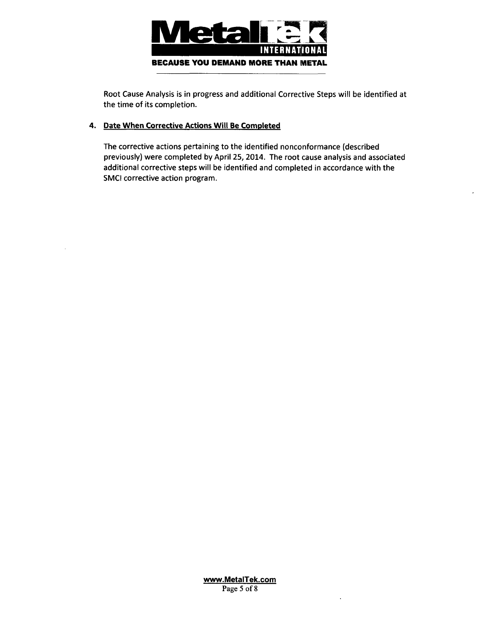

Root Cause Analysis is in progress and additional Corrective Steps will be identified at the time of its completion.

# 4. Date When Corrective Actions Will Be Comoleted

The corrective actions pertaining to the identified nonconformance (described previously) were completed by April 25, 2014. The root cause analysis and associated additional corrective steps will be identified and completed in accordance with the SMCI corrective action program.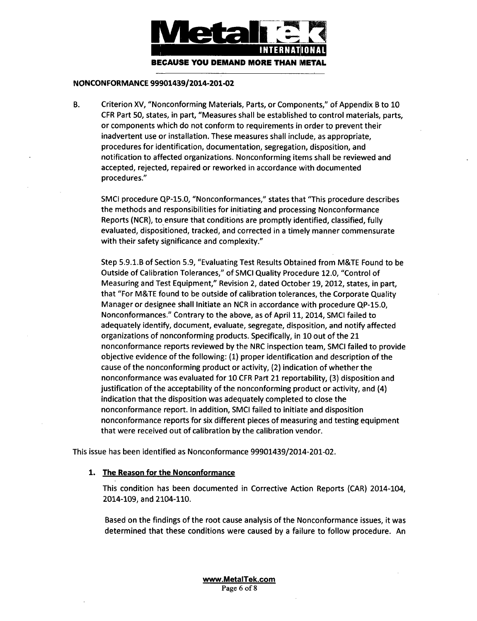

#### **NONCONFORMANCE** 99901439/2014-201-02

B. Criterion XV, "Nonconforming Materials, Parts, or Components," of Appendix B to 10 CFR Part 50, states, in part, "Measures shall be established to control materials, parts, or components which do not conform to requirements in order to prevent their inadvertent use or installation. These measures shall include, as appropriate, procedures for identification, documentation, segregation, disposition, and notification to affected organizations. Nonconforming items shall be reviewed and accepted, rejected, repaired or reworked in accordance with documented procedures."

SMCI procedure QP-15.0, "Nonconformances," states that "This procedure describes the methods and responsibilities for initiating and processing Nonconformance Reports (NCR), to ensure that conditions are promptly identified, classified, fully evaluated, dispositioned, tracked, and corrected in a timely manner commensurate with their safety significance and complexity."

Step 5.9.1.B of Section 5.9, "Evaluating Test Results Obtained from M&TE Found to be Outside of Calibration Tolerances," of SMCI Quality Procedure 12.0, "Control of Measuring and Test Equipment," Revision 2, dated October 19, 2012, states, in part, that "For M&TE found to be outside of calibration tolerances, the Corporate Quality Manager or designee shall Initiate an NCR in accordance with procedure QP-15.0, Nonconformances." Contrary to the above, as of April 11, 2014, SMCI failed to adequately identify, document, evaluate, segregate, disposition, and notify affected organizations of nonconforming products. Specifically, in 10 out of the 21 nonconformance reports reviewed by the NRC inspection team, SMCI failed to provide objective evidence of the following: (1) proper identification and description of the cause of the nonconforming product or activity, (2) indication of whether the nonconformance was evaluated for 10 CFR Part 21 reportability, (3) disposition and justification of the acceptability of the nonconforming product or activity, and (4) indication that the disposition was adequately completed to close the nonconformance report. In addition, SMCI failed to initiate and disposition nonconformance reports for six different pieces of measuring and testing equipment that were received out of calibration by the calibration vendor.

This issue has been identified as Nonconformance 99901439/2014-201-02.

#### 1. The Reason for the Nonconformance

This condition has been documented in Corrective Action Reports (CAR) 2014-104, 2014-109, and 2104-110.

Based on the findings of the root cause analysis of the Nonconformance issues, it was determined that these conditions were caused by a failure to follow procedure. An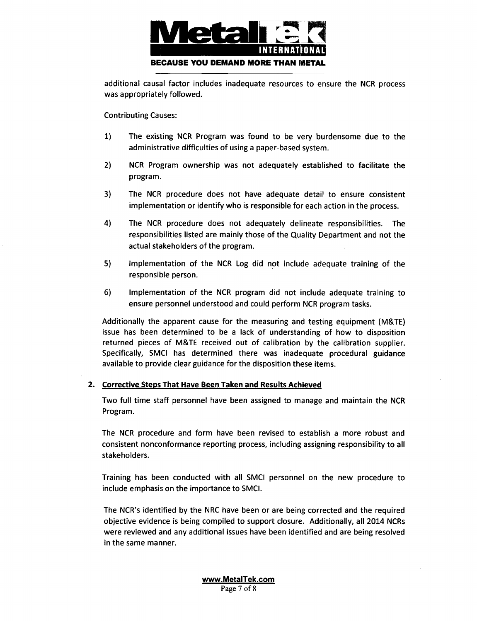

additional causal factor includes inadequate resources to ensure the NCR process was appropriately followed.

Contributing Causes:

- 1) The existing NCR Program was found to be very burdensome due to the administrative difficulties of using a paper-based system.
- 2) NCR Program ownership was not adequately established to facilitate the program.
- 3) The NCR procedure does not have adequate detail to ensure consistent implementation or identify who is responsible for each action in the process.
- 4) The NCR procedure does not adequately delineate responsibilities. The responsibilities listed are mainly those of the Quality Department and not the actual stakeholders of the program.
- 5) Implementation of the NCR Log did not include adequate training of the responsible person.
- 6) Implementation of the NCR program did not include adequate training to ensure personnel understood and could perform NCR program tasks.

Additionally the apparent cause for the measuring and testing equipment (M&TE) issue has been determined to be a lack of understanding of how to disposition returned pieces of M&TE received out of calibration by the calibration supplier. Specifically, SMCI has determined there was inadequate procedural guidance available to provide clear guidance for the disposition these items.

# 2. Corrective Steps That Have Been Taken and Results Achieved

Two full time staff personnel have been assigned to manage and maintain the NCR Program.

The NCR procedure and form have been revised to establish a more robust and consistent nonconformance reporting process, including assigning responsibility to all stakeholders.

Training has been conducted with all SMCI personnel on the new procedure to include emphasis on the importance to SMCI.

The NCR's identified by the NRC have been or are being corrected and the required objective evidence is being compiled to support closure. Additionally, all 2014 NCRs were reviewed and any additional issues have been identified and are being resolved in the same manner.